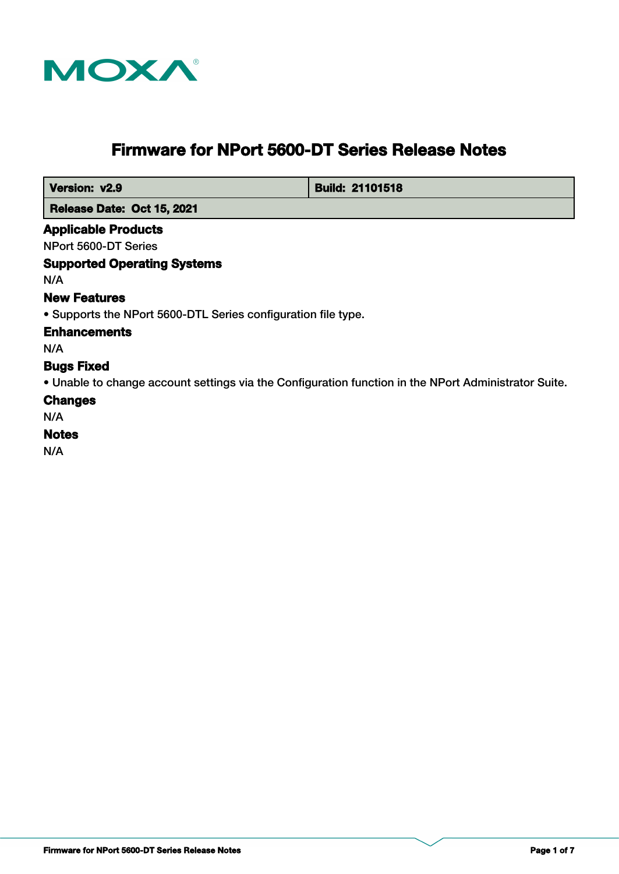

# **Firmware for NPort 5600-DT Series Release Notes**

 **Version: v2.9 Build: 21101518** 

 **Release Date: Oct 15, 2021**

### **Applicable Products**

NPort 5600-DT Series

## **Supported Operating Systems**

N/A

# **New Features**

• Supports the NPort 5600-DTL Series configuration file type.

### **Enhancements**

N/A

### **Bugs Fixed**

• Unable to change account settings via the Configuration function in the NPort Administrator Suite.

### **Changes**

N/A

# **Notes**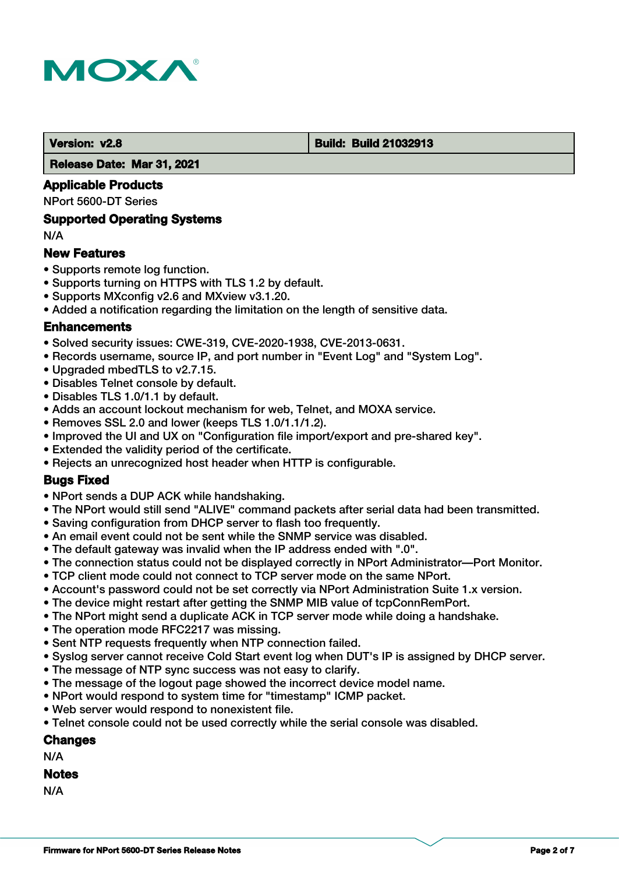

#### **Version: v2.8 Build: Build 21032913**

 **Release Date: Mar 31, 2021**

### **Applicable Products**

NPort 5600-DT Series

### **Supported Operating Systems**

N/A

### **New Features**

- Supports remote log function.
- Supports turning on HTTPS with TLS 1.2 by default.
- Supports MXconfig v2.6 and MXview v3.1.20.
- Added a notification regarding the limitation on the length of sensitive data.

### **Enhancements**

- Solved security issues: CWE-319, CVE-2020-1938, CVE-2013-0631.
- Records username, source IP, and port number in "Event Log" and "System Log".
- Upgraded mbedTLS to v2.7.15.
- Disables Telnet console by default.
- Disables TLS 1.0/1.1 by default.
- Adds an account lockout mechanism for web, Telnet, and MOXA service.
- Removes SSL 2.0 and lower (keeps TLS 1.0/1.1/1.2).
- Improved the UI and UX on "Configuration file import/export and pre-shared key".
- Extended the validity period of the certificate.
- Rejects an unrecognized host header when HTTP is configurable.

### **Bugs Fixed**

- NPort sends a DUP ACK while handshaking.
- The NPort would still send "ALIVE" command packets after serial data had been transmitted.
- Saving configuration from DHCP server to flash too frequently.
- An email event could not be sent while the SNMP service was disabled.
- The default gateway was invalid when the IP address ended with ".0".
- The connection status could not be displayed correctly in NPort Administrator—Port Monitor.
- TCP client mode could not connect to TCP server mode on the same NPort.
- Account's password could not be set correctly via NPort Administration Suite 1.x version.
- The device might restart after getting the SNMP MIB value of tcpConnRemPort.
- The NPort might send a duplicate ACK in TCP server mode while doing a handshake.
- The operation mode RFC2217 was missing.
- Sent NTP requests frequently when NTP connection failed.
- Syslog server cannot receive Cold Start event log when DUT's IP is assigned by DHCP server.
- The message of NTP sync success was not easy to clarify.
- The message of the logout page showed the incorrect device model name.
- NPort would respond to system time for "timestamp" ICMP packet.
- Web server would respond to nonexistent file.
- Telnet console could not be used correctly while the serial console was disabled.

### **Changes**

N/A

### **Notes**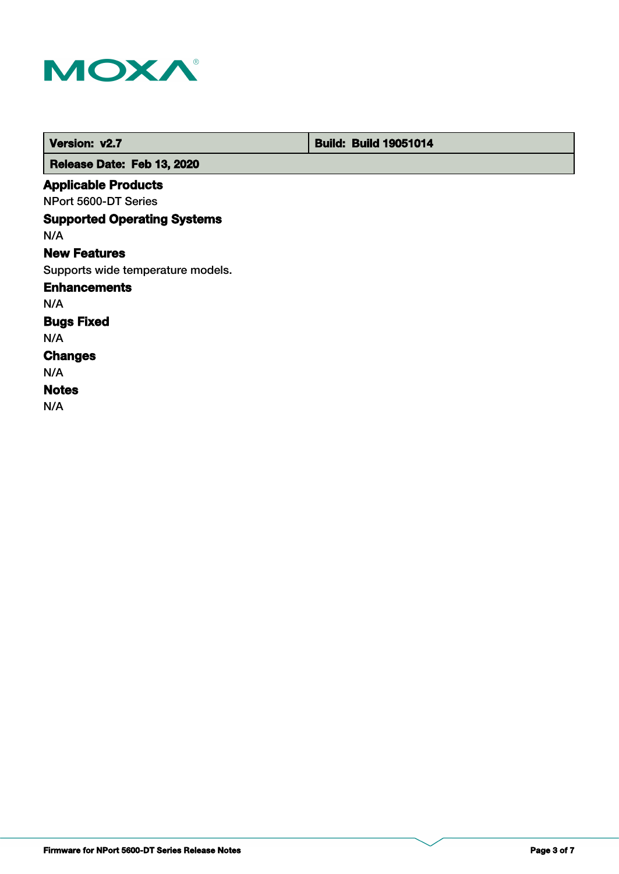

| Version: v2.7                      | <b>Build: Build 19051014</b> |
|------------------------------------|------------------------------|
| Release Date: Feb 13, 2020         |                              |
| <b>Applicable Products</b>         |                              |
| NPort 5600-DT Series               |                              |
| <b>Supported Operating Systems</b> |                              |
| N/A                                |                              |
| <b>New Features</b>                |                              |
| Supports wide temperature models.  |                              |
| <b>Enhancements</b>                |                              |
| N/A                                |                              |
| <b>Bugs Fixed</b>                  |                              |
| N/A                                |                              |
| <b>Changes</b>                     |                              |
| N/A                                |                              |
| <b>Notes</b>                       |                              |
| N/A                                |                              |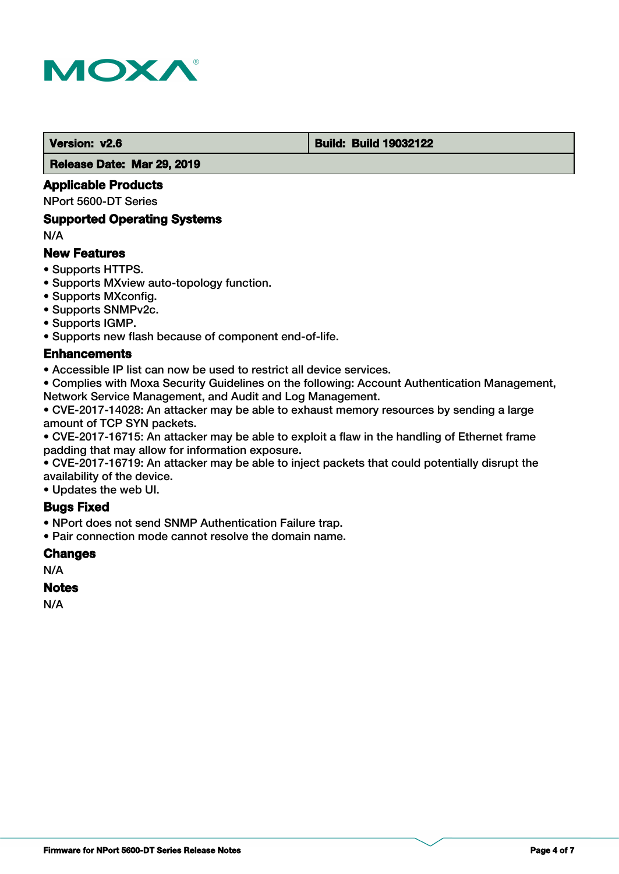

#### **Version: v2.6 Build: Build: Build 19032122**

 **Release Date: Mar 29, 2019**

### **Applicable Products**

NPort 5600-DT Series

### **Supported Operating Systems**

N/A

### **New Features**

- Supports HTTPS.
- Supports MXview auto-topology function.
- Supports MXconfig.
- Supports SNMPv2c.
- Supports IGMP.
- Supports new flash because of component end-of-life.

### **Enhancements**

• Accessible IP list can now be used to restrict all device services.

• Complies with Moxa Security Guidelines on the following: Account Authentication Management, Network Service Management, and Audit and Log Management.

• CVE-2017-14028: An attacker may be able to exhaust memory resources by sending a large amount of TCP SYN packets.

• CVE-2017-16715: An attacker may be able to exploit a flaw in the handling of Ethernet frame padding that may allow for information exposure.

• CVE-2017-16719: An attacker may be able to inject packets that could potentially disrupt the availability of the device.

• Updates the web UI.

### **Bugs Fixed**

• NPort does not send SNMP Authentication Failure trap.

• Pair connection mode cannot resolve the domain name.

### **Changes**

N/A

### **Notes**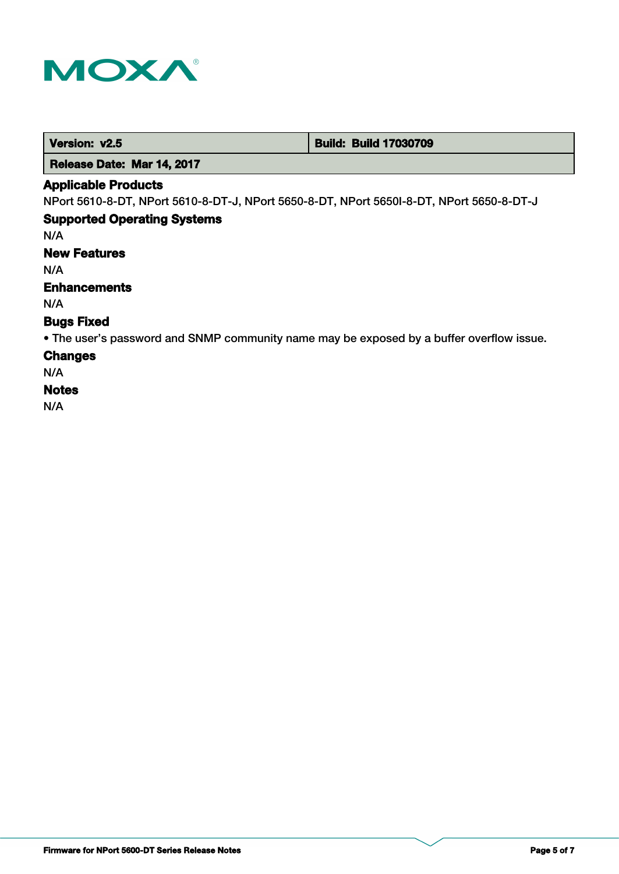

 **Version: v2.5 Build: Build: Build 17030709** 

 **Release Date: Mar 14, 2017**

### **Applicable Products**

NPort 5610-8-DT, NPort 5610-8-DT-J, NPort 5650-8-DT, NPort 5650I-8-DT, NPort 5650-8-DT-J

# **Supported Operating Systems**

N/A

**New Features**

N/A

### **Enhancements**

N/A

## **Bugs Fixed**

• The user's password and SNMP community name may be exposed by a buffer overflow issue.

### **Changes**

N/A

## **Notes**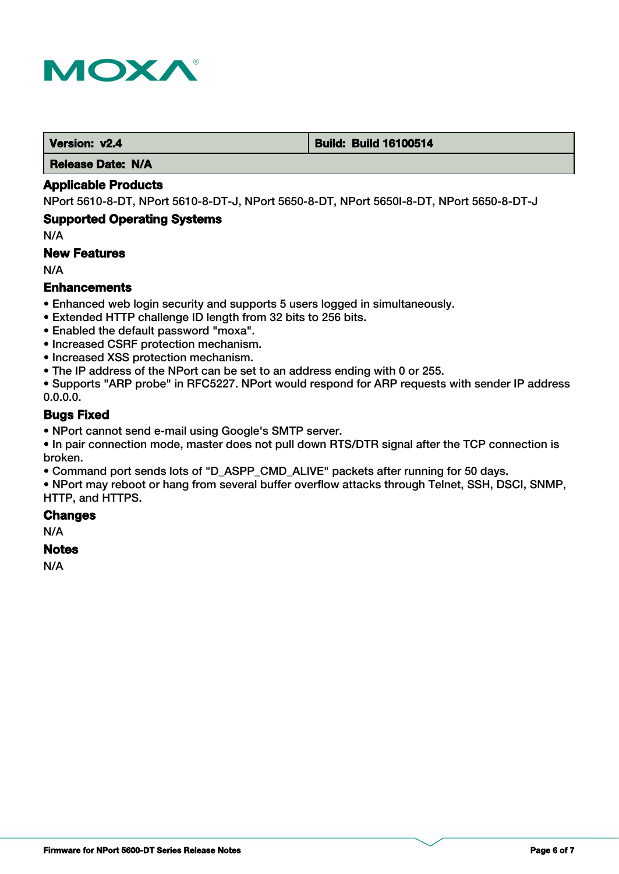

#### **Version: v2.4 Build: Build: Build 16100514**

 **Release Date: N/A**

### **Applicable Products**

NPort 5610-8-DT, NPort 5610-8-DT-J, NPort 5650-8-DT, NPort 5650I-8-DT, NPort 5650-8-DT-J

### **Supported Operating Systems**

N/A

### **New Features**

N/A

### **Enhancements**

- Enhanced web login security and supports 5 users logged in simultaneously.
- Extended HTTP challenge ID length from 32 bits to 256 bits.
- Enabled the default password "moxa".
- Increased CSRF protection mechanism.
- Increased XSS protection mechanism.
- The IP address of the NPort can be set to an address ending with 0 or 255.

• Supports "ARP probe" in RFC5227. NPort would respond for ARP requests with sender IP address 0.0.0.0.

### **Bugs Fixed**

• NPort cannot send e-mail using Google's SMTP server.

• In pair connection mode, master does not pull down RTS/DTR signal after the TCP connection is broken.

• Command port sends lots of "D\_ASPP\_CMD\_ALIVE" packets after running for 50 days.

• NPort may reboot or hang from several buffer overflow attacks through Telnet, SSH, DSCI, SNMP, HTTP, and HTTPS.

### **Changes**

N/A

### **Notes**